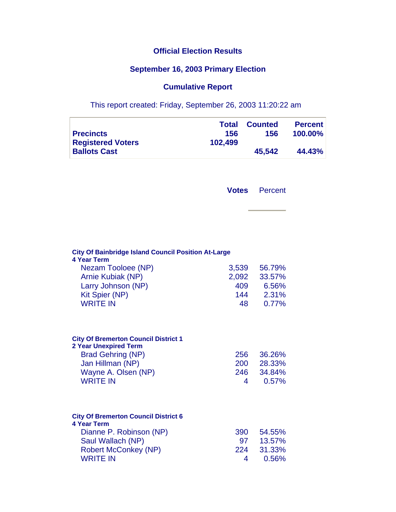## **Official Election Results**

## **September 16, 2003 Primary Election**

## **Cumulative Report**

This report created: Friday, September 26, 2003 11:20:22 am

|                          | Total   | <b>Counted</b> | <b>Percent</b> |
|--------------------------|---------|----------------|----------------|
| <b>Precincts</b>         | 156     | 156            | <b>100.00%</b> |
| <b>Registered Voters</b> | 102.499 |                |                |
| <b>Ballots Cast</b>      |         | 45.542         | 44.43%         |

**Votes** Percent

| <b>City Of Bainbridge Island Council Position At-Large</b><br><b>4 Year Term</b>                                                                                      |                        |                                     |  |  |
|-----------------------------------------------------------------------------------------------------------------------------------------------------------------------|------------------------|-------------------------------------|--|--|
| Nezam Tooloee (NP)                                                                                                                                                    | 3,539                  | 56.79%                              |  |  |
| <b>Arnie Kubiak (NP)</b>                                                                                                                                              | 2,092                  | 33.57%                              |  |  |
| Larry Johnson (NP)                                                                                                                                                    | 409                    | 6.56%                               |  |  |
| <b>Kit Spier (NP)</b>                                                                                                                                                 | 144                    | 2.31%                               |  |  |
| <b>WRITE IN</b>                                                                                                                                                       | 48                     | 0.77%                               |  |  |
| <b>City Of Bremerton Council District 1</b><br><b>2 Year Unexpired Term</b><br><b>Brad Gehring (NP)</b><br>Jan Hillman (NP)<br>Wayne A. Olsen (NP)<br><b>WRITE IN</b> | 256<br>200<br>246<br>4 | 36.26%<br>28.33%<br>34.84%<br>0.57% |  |  |
| <b>City Of Bremerton Council District 6</b><br><b>4 Year Term</b>                                                                                                     |                        |                                     |  |  |
| Dianne P. Robinson (NP)                                                                                                                                               | 390                    | 54.55%                              |  |  |
| Saul Wallach (NP)                                                                                                                                                     | 97                     | 13.57%                              |  |  |
| <b>Robert McConkey (NP)</b>                                                                                                                                           | 224                    | 31.33%                              |  |  |
| <b>WRITE IN</b>                                                                                                                                                       | 4                      | 0.56%                               |  |  |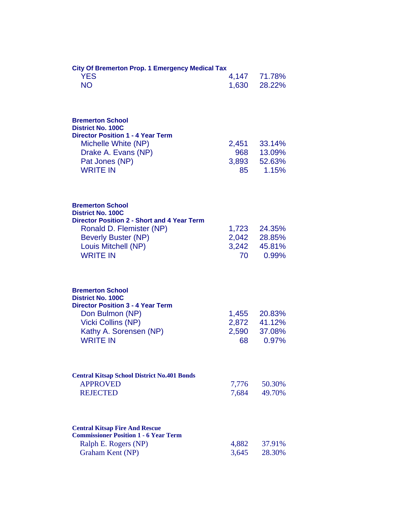| <b>City Of Bremerton Prop. 1 Emergency Medical Tax</b>                         |             |                  |  |  |
|--------------------------------------------------------------------------------|-------------|------------------|--|--|
| <b>YES</b>                                                                     |             | 4,147 71.78%     |  |  |
| <b>NO</b>                                                                      | 1,630       | 28.22%           |  |  |
|                                                                                |             |                  |  |  |
| <b>Bremerton School</b><br><b>District No. 100C</b>                            |             |                  |  |  |
| <b>Director Position 1 - 4 Year Term</b>                                       |             |                  |  |  |
| Michelle White (NP)                                                            | 2,451       | 33.14%           |  |  |
| Drake A. Evans (NP)                                                            | 968         | 13.09%           |  |  |
| Pat Jones (NP)<br><b>WRITE IN</b>                                              | 3,893<br>85 | 52.63%<br>1.15%  |  |  |
|                                                                                |             |                  |  |  |
| <b>Bremerton School</b>                                                        |             |                  |  |  |
| <b>District No. 100C</b>                                                       |             |                  |  |  |
| <b>Director Position 2 - Short and 4 Year Term</b><br>Ronald D. Flemister (NP) | 1,723       | 24.35%           |  |  |
| <b>Beverly Buster (NP)</b>                                                     | 2,042       | 28.85%           |  |  |
| Louis Mitchell (NP)                                                            | 3,242       | 45.81%           |  |  |
| <b>WRITE IN</b>                                                                | 70          | 0.99%            |  |  |
|                                                                                |             |                  |  |  |
| <b>Bremerton School</b><br><b>District No. 100C</b>                            |             |                  |  |  |
| <b>Director Position 3 - 4 Year Term</b>                                       |             |                  |  |  |
| Don Bulmon (NP)                                                                | 1,455       | 20.83%           |  |  |
| <b>Vicki Collins (NP)</b>                                                      | 2,872       | 41.12%<br>37.08% |  |  |
| Kathy A. Sorensen (NP)<br><b>WRITE IN</b>                                      | 2,590<br>68 | 0.97%            |  |  |
|                                                                                |             |                  |  |  |
| <b>Central Kitsap School District No.401 Bonds</b>                             |             |                  |  |  |
| <b>APPROVED</b>                                                                | 7,776       | 50.30%           |  |  |
| <b>REJECTED</b>                                                                | 7,684       | 49.70%           |  |  |
| <b>Central Kitsap Fire And Rescue</b>                                          |             |                  |  |  |
| <b>Commissioner Position 1 - 6 Year Term</b>                                   |             |                  |  |  |
| Ralph E. Rogers (NP)                                                           | 4,882       | 37.91%           |  |  |
| Graham Kent (NP)                                                               | 3,645       | 28.30%           |  |  |